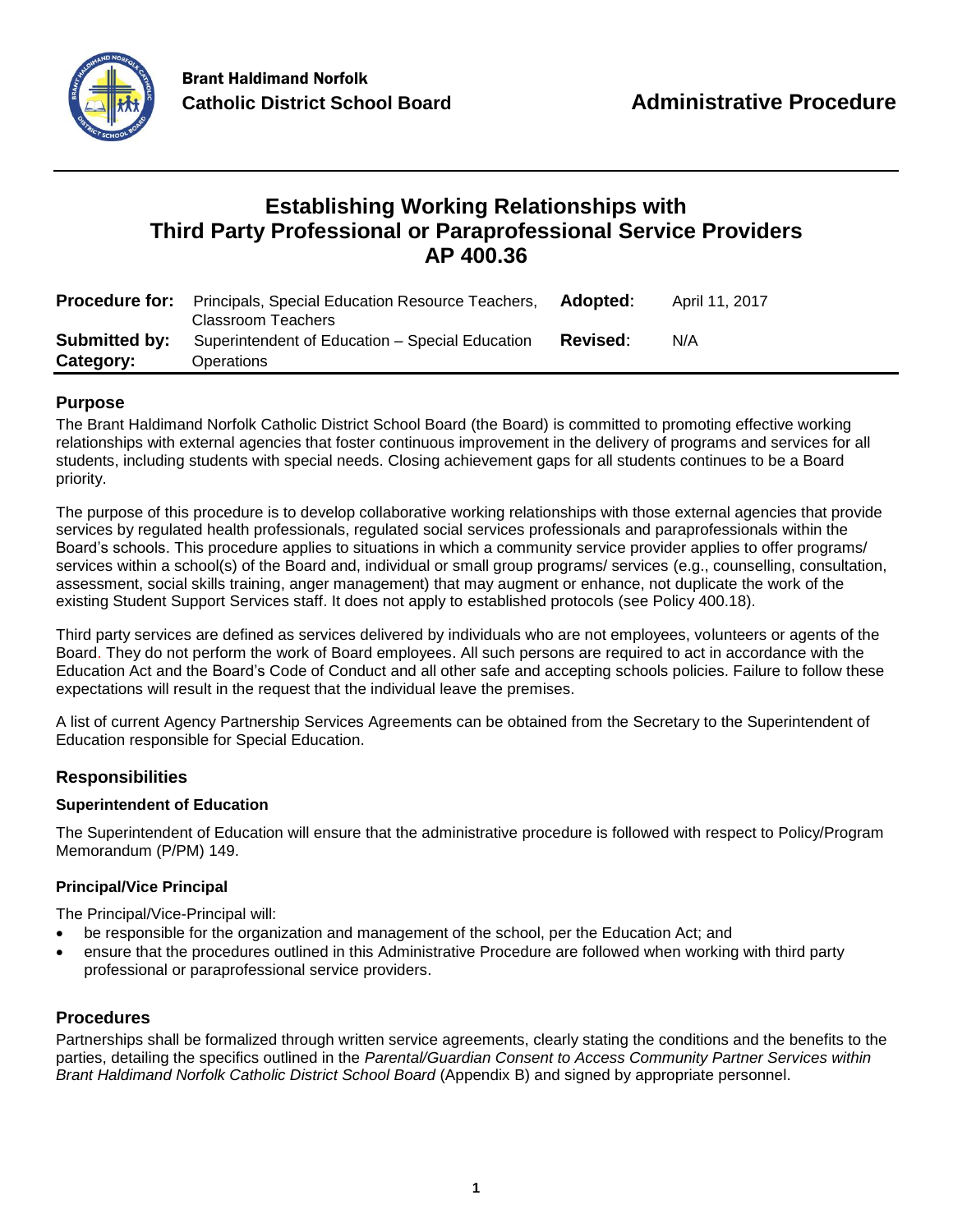

# **Establishing Working Relationships with Third Party Professional or Paraprofessional Service Providers AP 400.36**

|           | <b>Procedure for:</b> Principals, Special Education Resource Teachers,<br>Classroom Teachers | Adopted: | April 11, 2017 |
|-----------|----------------------------------------------------------------------------------------------|----------|----------------|
|           | <b>Submitted by:</b> Superintendent of Education – Special Education                         | Revised: | N/A            |
| Category: | <b>Operations</b>                                                                            |          |                |

# **Purpose**

The Brant Haldimand Norfolk Catholic District School Board (the Board) is committed to promoting effective working relationships with external agencies that foster continuous improvement in the delivery of programs and services for all students, including students with special needs. Closing achievement gaps for all students continues to be a Board priority.

The purpose of this procedure is to develop collaborative working relationships with those external agencies that provide services by regulated health professionals, regulated social services professionals and paraprofessionals within the Board's schools. This procedure applies to situations in which a community service provider applies to offer programs/ services within a school(s) of the Board and, individual or small group programs/ services (e.g., counselling, consultation, assessment, social skills training, anger management) that may augment or enhance, not duplicate the work of the existing Student Support Services staff. It does not apply to established protocols (see Policy 400.18).

Third party services are defined as services delivered by individuals who are not employees, volunteers or agents of the Board. They do not perform the work of Board employees. All such persons are required to act in accordance with the Education Act and the Board's Code of Conduct and all other safe and accepting schools policies. Failure to follow these expectations will result in the request that the individual leave the premises.

A list of current Agency Partnership Services Agreements can be obtained from the Secretary to the Superintendent of Education responsible for Special Education.

# **Responsibilities**

## **Superintendent of Education**

The Superintendent of Education will ensure that the administrative procedure is followed with respect to Policy/Program Memorandum (P/PM) 149.

## **Principal/Vice Principal**

The Principal/Vice-Principal will:

- be responsible for the organization and management of the school, per the Education Act; and
- ensure that the procedures outlined in this Administrative Procedure are followed when working with third party professional or paraprofessional service providers.

# **Procedures**

Partnerships shall be formalized through written service agreements, clearly stating the conditions and the benefits to the parties, detailing the specifics outlined in the *Parental/Guardian Consent to Access Community Partner Services within Brant Haldimand Norfolk Catholic District School Board* (Appendix B) and signed by appropriate personnel.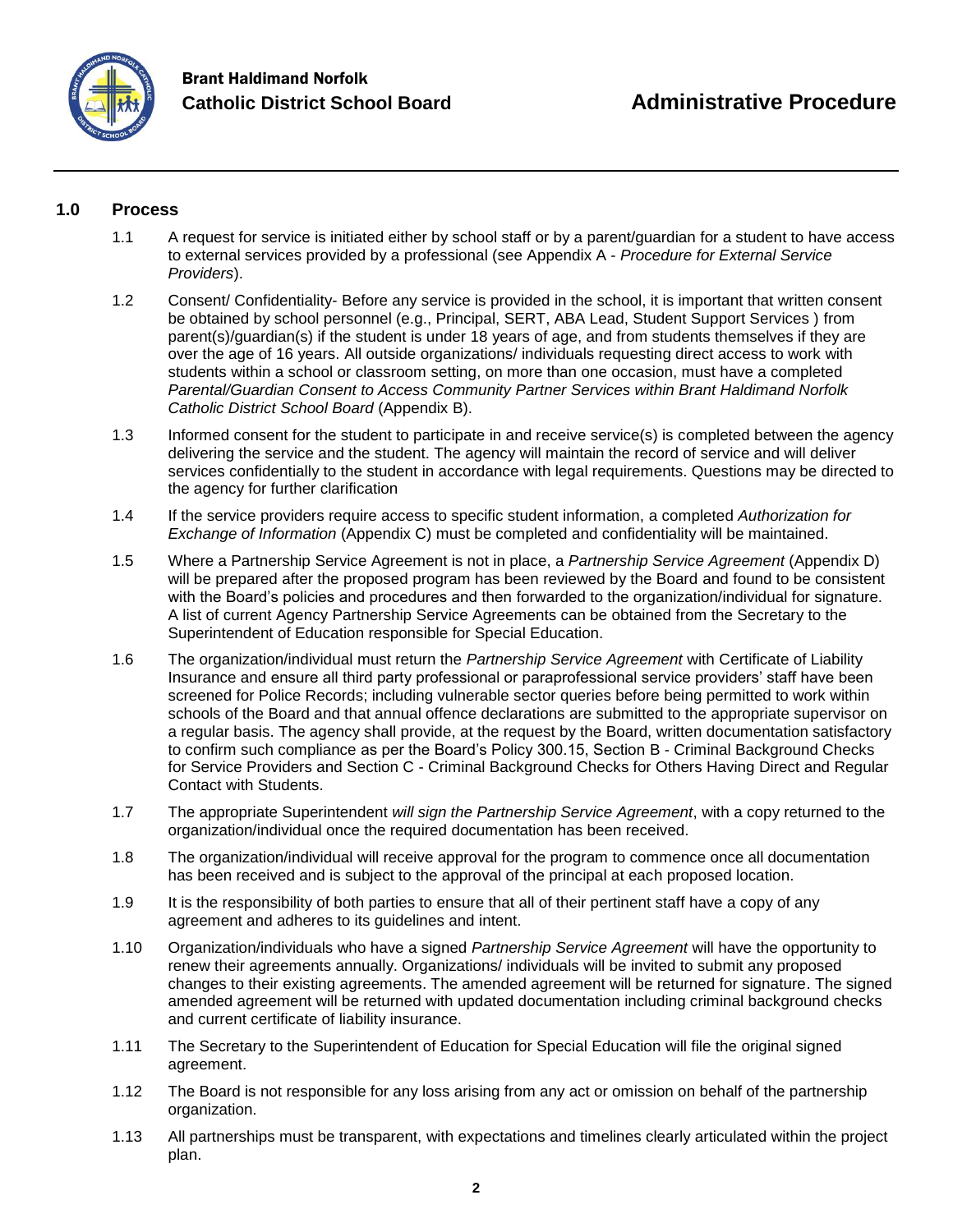

# **1.0 Process**

- 1.1 A request for service is initiated either by school staff or by a parent/guardian for a student to have access to external services provided by a professional (see Appendix A - *Procedure for External Service Providers*).
- 1.2 Consent/ Confidentiality- Before any service is provided in the school, it is important that written consent be obtained by school personnel (e.g., Principal, SERT, ABA Lead, Student Support Services ) from parent(s)/guardian(s) if the student is under 18 years of age, and from students themselves if they are over the age of 16 years. All outside organizations/ individuals requesting direct access to work with students within a school or classroom setting, on more than one occasion, must have a completed *Parental/Guardian Consent to Access Community Partner Services within Brant Haldimand Norfolk Catholic District School Board* (Appendix B).
- 1.3 Informed consent for the student to participate in and receive service(s) is completed between the agency delivering the service and the student. The agency will maintain the record of service and will deliver services confidentially to the student in accordance with legal requirements. Questions may be directed to the agency for further clarification
- 1.4 If the service providers require access to specific student information, a completed *Authorization for Exchange of Information* (Appendix C) must be completed and confidentiality will be maintained.
- 1.5 Where a Partnership Service Agreement is not in place, a *Partnership Service Agreement* (Appendix D) will be prepared after the proposed program has been reviewed by the Board and found to be consistent with the Board's policies and procedures and then forwarded to the organization/individual for signature. A list of current Agency Partnership Service Agreements can be obtained from the Secretary to the Superintendent of Education responsible for Special Education.
- 1.6 The organization/individual must return the *Partnership Service Agreement* with Certificate of Liability Insurance and ensure all third party professional or paraprofessional service providers' staff have been screened for Police Records; including vulnerable sector queries before being permitted to work within schools of the Board and that annual offence declarations are submitted to the appropriate supervisor on a regular basis. The agency shall provide, at the request by the Board, written documentation satisfactory to confirm such compliance as per the Board's Policy 300.15, Section B - Criminal Background Checks for Service Providers and Section C - Criminal Background Checks for Others Having Direct and Regular Contact with Students.
- 1.7 The appropriate Superintendent *will sign the Partnership Service Agreement*, with a copy returned to the organization/individual once the required documentation has been received.
- 1.8 The organization/individual will receive approval for the program to commence once all documentation has been received and is subject to the approval of the principal at each proposed location.
- 1.9 It is the responsibility of both parties to ensure that all of their pertinent staff have a copy of any agreement and adheres to its guidelines and intent.
- 1.10 Organization/individuals who have a signed *Partnership Service Agreement* will have the opportunity to renew their agreements annually. Organizations/ individuals will be invited to submit any proposed changes to their existing agreements. The amended agreement will be returned for signature. The signed amended agreement will be returned with updated documentation including criminal background checks and current certificate of liability insurance.
- 1.11 The Secretary to the Superintendent of Education for Special Education will file the original signed agreement.
- 1.12 The Board is not responsible for any loss arising from any act or omission on behalf of the partnership organization.
- 1.13 All partnerships must be transparent, with expectations and timelines clearly articulated within the project plan.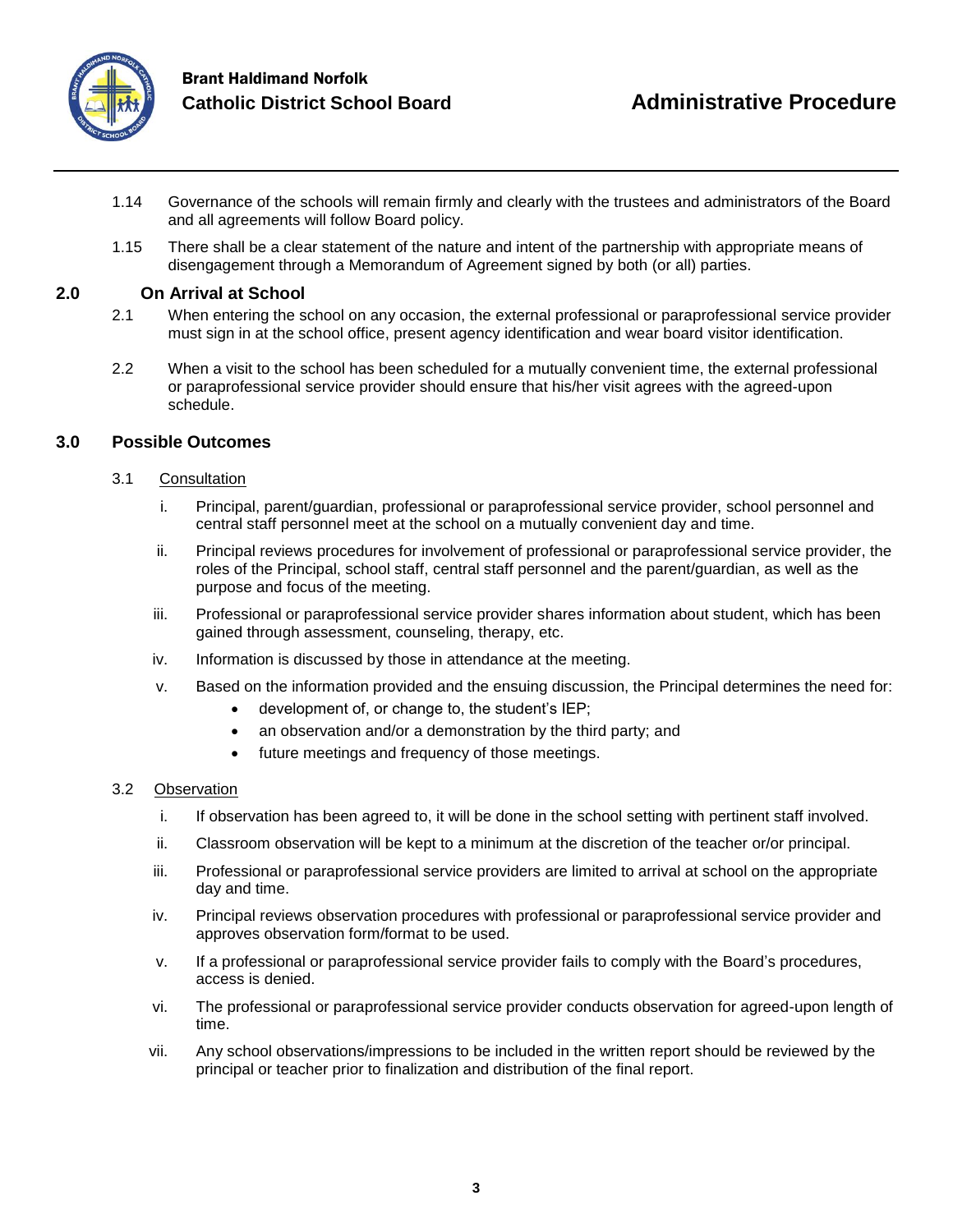

- 1.14 Governance of the schools will remain firmly and clearly with the trustees and administrators of the Board and all agreements will follow Board policy.
- 1.15 There shall be a clear statement of the nature and intent of the partnership with appropriate means of disengagement through a Memorandum of Agreement signed by both (or all) parties.

# **2.0 On Arrival at School**

- 2.1 When entering the school on any occasion, the external professional or paraprofessional service provider must sign in at the school office, present agency identification and wear board visitor identification.
- 2.2 When a visit to the school has been scheduled for a mutually convenient time, the external professional or paraprofessional service provider should ensure that his/her visit agrees with the agreed-upon schedule.

# **3.0 Possible Outcomes**

## 3.1 Consultation

- i. Principal, parent/guardian, professional or paraprofessional service provider, school personnel and central staff personnel meet at the school on a mutually convenient day and time.
- ii. Principal reviews procedures for involvement of professional or paraprofessional service provider, the roles of the Principal, school staff, central staff personnel and the parent/guardian, as well as the purpose and focus of the meeting.
- iii. Professional or paraprofessional service provider shares information about student, which has been gained through assessment, counseling, therapy, etc.
- iv. Information is discussed by those in attendance at the meeting.
- v. Based on the information provided and the ensuing discussion, the Principal determines the need for:
	- development of, or change to, the student's IEP;
	- an observation and/or a demonstration by the third party; and
	- future meetings and frequency of those meetings.

#### 3.2 Observation

- i. If observation has been agreed to, it will be done in the school setting with pertinent staff involved.
- ii. Classroom observation will be kept to a minimum at the discretion of the teacher or/or principal.
- iii. Professional or paraprofessional service providers are limited to arrival at school on the appropriate day and time.
- iv. Principal reviews observation procedures with professional or paraprofessional service provider and approves observation form/format to be used.
- v. If a professional or paraprofessional service provider fails to comply with the Board's procedures, access is denied.
- vi. The professional or paraprofessional service provider conducts observation for agreed-upon length of time.
- vii. Any school observations/impressions to be included in the written report should be reviewed by the principal or teacher prior to finalization and distribution of the final report.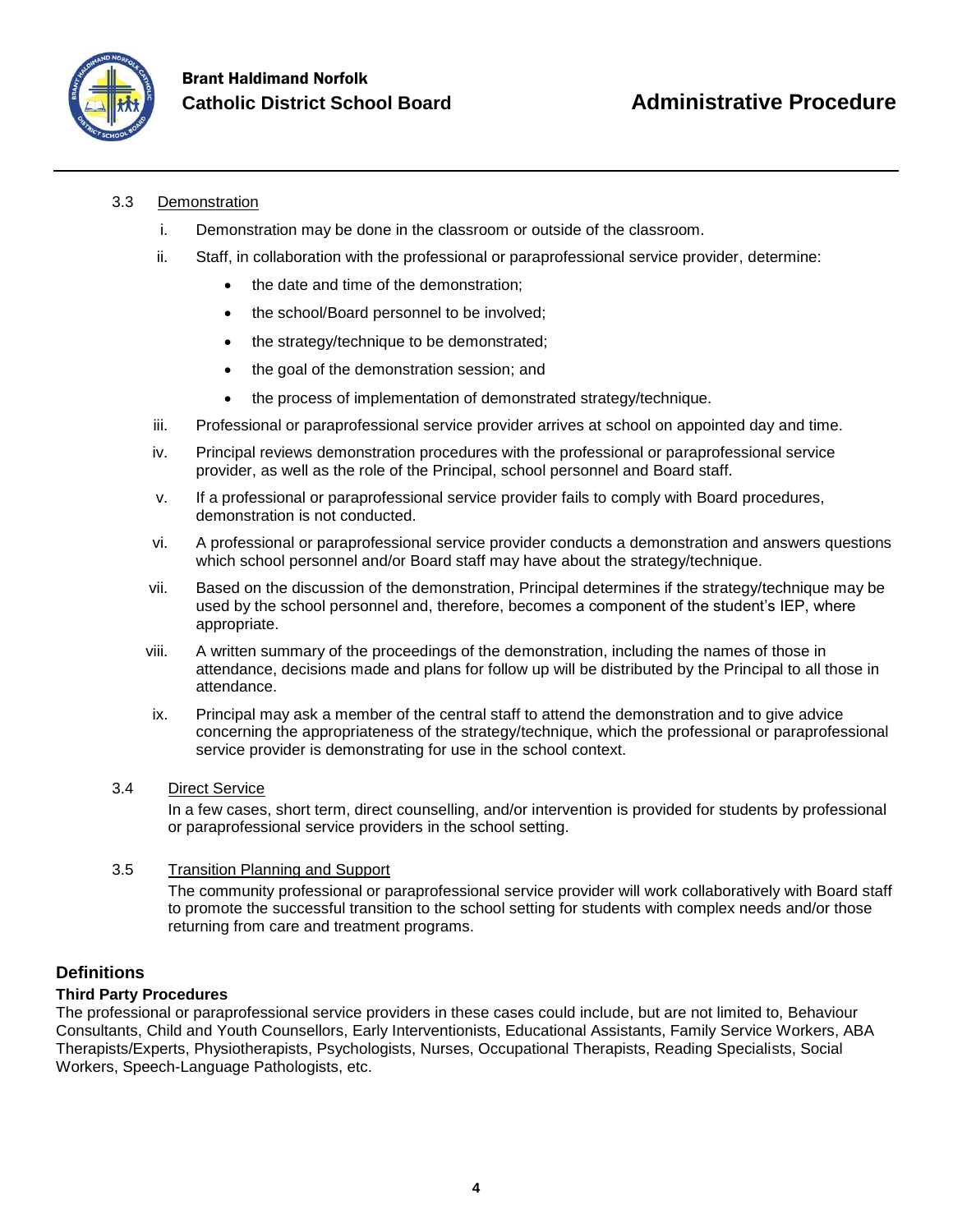

## 3.3 Demonstration

- i. Demonstration may be done in the classroom or outside of the classroom.
- ii. Staff, in collaboration with the professional or paraprofessional service provider, determine:
	- the date and time of the demonstration;
	- the school/Board personnel to be involved;
	- the strategy/technique to be demonstrated;
	- the goal of the demonstration session; and
	- the process of implementation of demonstrated strategy/technique.
- iii. Professional or paraprofessional service provider arrives at school on appointed day and time.
- iv. Principal reviews demonstration procedures with the professional or paraprofessional service provider, as well as the role of the Principal, school personnel and Board staff.
- v. If a professional or paraprofessional service provider fails to comply with Board procedures, demonstration is not conducted.
- vi. A professional or paraprofessional service provider conducts a demonstration and answers questions which school personnel and/or Board staff may have about the strategy/technique.
- vii. Based on the discussion of the demonstration, Principal determines if the strategy/technique may be used by the school personnel and, therefore, becomes a component of the student's IEP, where appropriate.
- viii. A written summary of the proceedings of the demonstration, including the names of those in attendance, decisions made and plans for follow up will be distributed by the Principal to all those in attendance.
- ix. Principal may ask a member of the central staff to attend the demonstration and to give advice concerning the appropriateness of the strategy/technique, which the professional or paraprofessional service provider is demonstrating for use in the school context.
- 3.4 Direct Service

In a few cases, short term, direct counselling, and/or intervention is provided for students by professional or paraprofessional service providers in the school setting.

#### 3.5 Transition Planning and Support

The community professional or paraprofessional service provider will work collaboratively with Board staff to promote the successful transition to the school setting for students with complex needs and/or those returning from care and treatment programs.

# **Definitions**

## **Third Party Procedures**

The professional or paraprofessional service providers in these cases could include, but are not limited to, Behaviour Consultants, Child and Youth Counsellors, Early Interventionists, Educational Assistants, Family Service Workers, ABA Therapists/Experts, Physiotherapists, Psychologists, Nurses, Occupational Therapists, Reading Specialists, Social Workers, Speech-Language Pathologists, etc.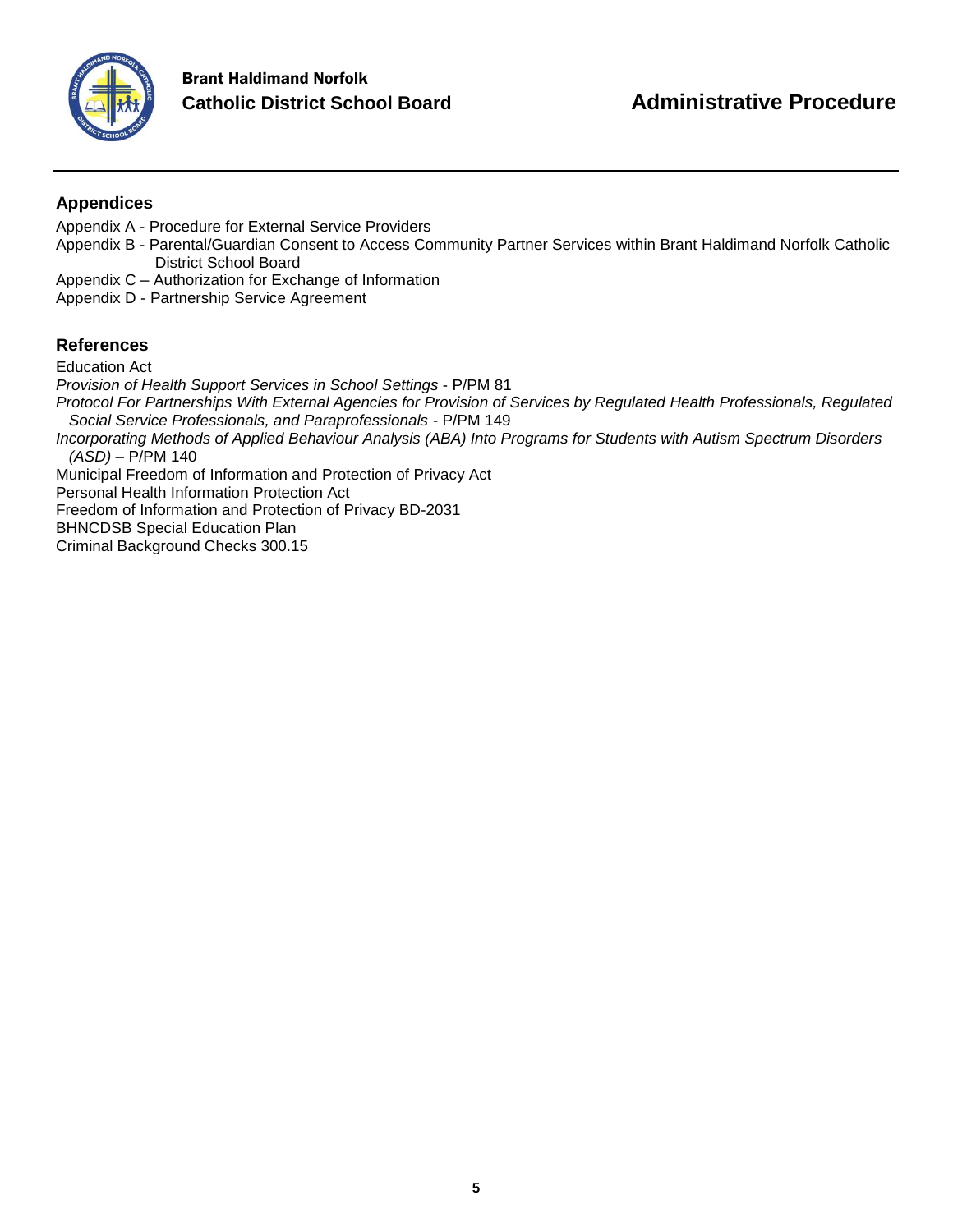

# **Appendices**

- Appendix A Procedure for External Service Providers
- Appendix B Parental/Guardian Consent to Access Community Partner Services within Brant Haldimand Norfolk Catholic District School Board
- Appendix C Authorization for Exchange of Information
- Appendix D Partnership Service Agreement

# **References**

Education Act *Provision of Health Support Services in School Settings* - P/PM 81 *Protocol For Partnerships With External Agencies for Provision of Services by Regulated Health Professionals, Regulated Social Service Professionals, and Paraprofessionals* - P/PM 149 *Incorporating Methods of Applied Behaviour Analysis (ABA) Into Programs for Students with Autism Spectrum Disorders (ASD)* – P/PM 140 Municipal Freedom of Information and Protection of Privacy Act Personal Health Information Protection Act Freedom of Information and Protection of Privacy BD-2031 BHNCDSB Special Education Plan

Criminal Background Checks 300.15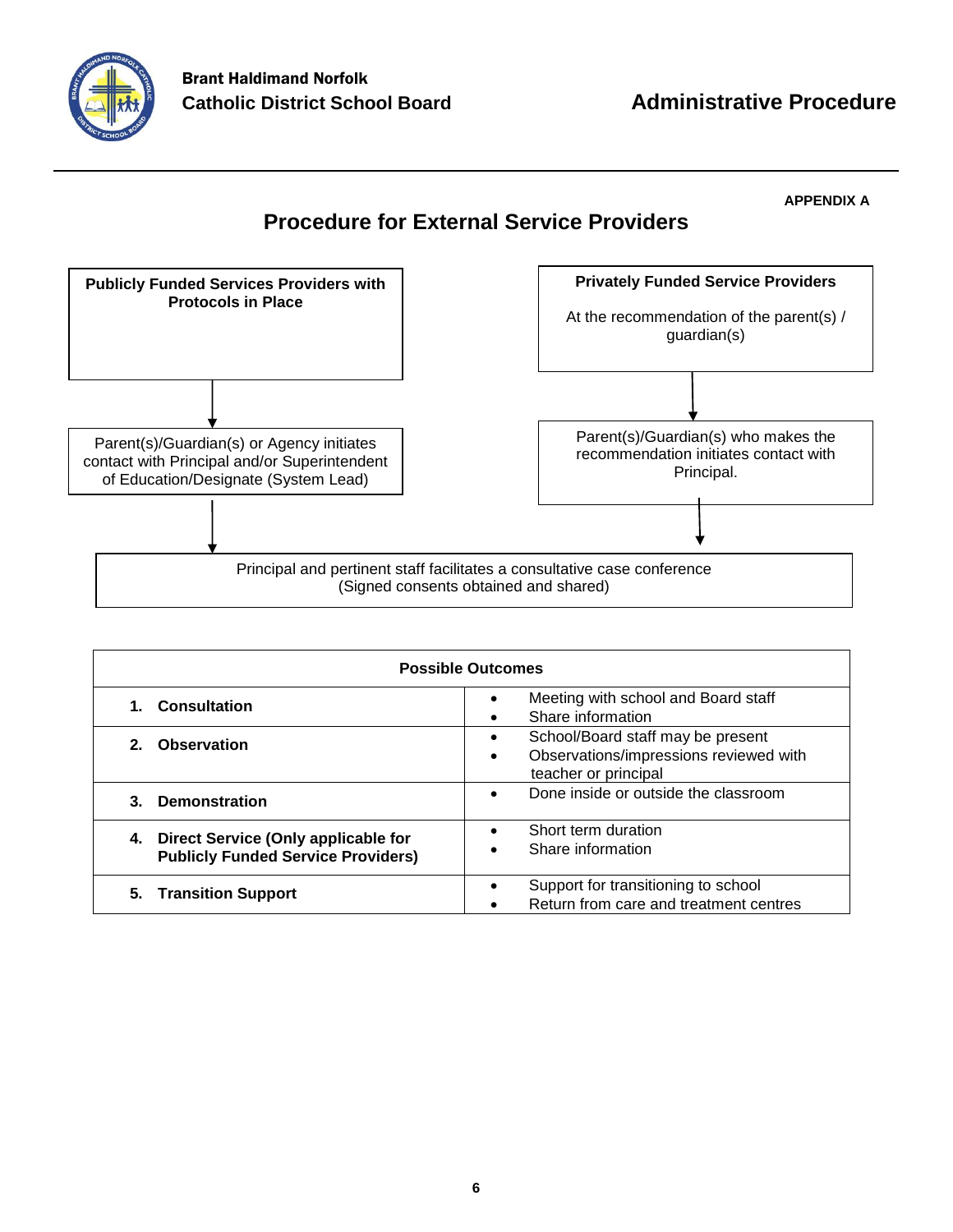

#### **APPENDIX A**

# **Procedure for External Service Providers**



| <b>Possible Outcomes</b>                                                            |                                                                                                                       |  |  |  |
|-------------------------------------------------------------------------------------|-----------------------------------------------------------------------------------------------------------------------|--|--|--|
| <b>Consultation</b>                                                                 | Meeting with school and Board staff<br>$\bullet$<br>Share information<br>$\bullet$                                    |  |  |  |
| Observation<br>2 <sup>1</sup>                                                       | School/Board staff may be present<br>٠<br>Observations/impressions reviewed with<br>$\bullet$<br>teacher or principal |  |  |  |
| <b>Demonstration</b><br>3.                                                          | Done inside or outside the classroom<br>$\bullet$                                                                     |  |  |  |
| 4. Direct Service (Only applicable for<br><b>Publicly Funded Service Providers)</b> | Short term duration<br>$\bullet$<br>Share information<br>$\bullet$                                                    |  |  |  |
| <b>Transition Support</b><br>5.                                                     | Support for transitioning to school<br>$\bullet$<br>Return from care and treatment centres                            |  |  |  |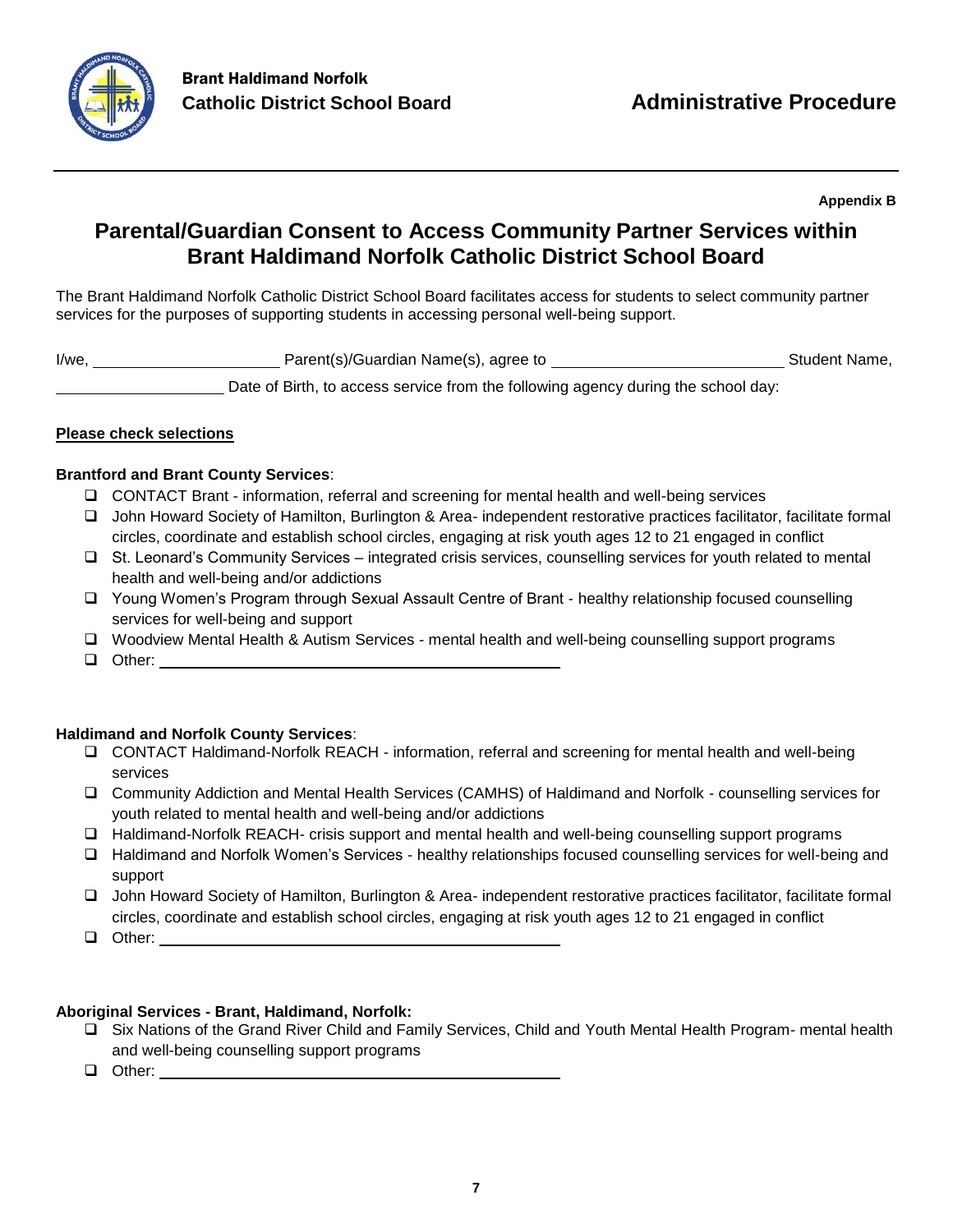

**Appendix B**

# **Parental/Guardian Consent to Access Community Partner Services within Brant Haldimand Norfolk Catholic District School Board**

The Brant Haldimand Norfolk Catholic District School Board facilitates access for students to select community partner services for the purposes of supporting students in accessing personal well-being support.

I/we, Student Name, Parent(s)/Guardian Name(s), agree to Student Name, Student Name,

Date of Birth, to access service from the following agency during the school day:

# **Please check selections**

# **Brantford and Brant County Services**:

- CONTACT Brant information, referral and screening for mental health and well-being services
- John Howard Society of Hamilton, Burlington & Area- independent restorative practices facilitator, facilitate formal circles, coordinate and establish school circles, engaging at risk youth ages 12 to 21 engaged in conflict
- St. Leonard's Community Services integrated crisis services, counselling services for youth related to mental health and well-being and/or addictions
- □ Young Women's Program through Sexual Assault Centre of Brant healthy relationship focused counselling services for well-being and support
- Woodview Mental Health & Autism Services mental health and well-being counselling support programs
- **Other: Other: Other: Other: Other: Other: Other: Other: Other: Other: Other: Other: Other: Other: Other: Other: Other: Other: Other: Other: Other: Other: Other: Other: Other**

## **Haldimand and Norfolk County Services**:

- CONTACT Haldimand-Norfolk REACH information, referral and screening for mental health and well-being services
- Community Addiction and Mental Health Services (CAMHS) of Haldimand and Norfolk counselling services for youth related to mental health and well-being and/or addictions
- Haldimand-Norfolk REACH- crisis support and mental health and well-being counselling support programs
- Haldimand and Norfolk Women's Services healthy relationships focused counselling services for well-being and support
- John Howard Society of Hamilton, Burlington & Area- independent restorative practices facilitator, facilitate formal circles, coordinate and establish school circles, engaging at risk youth ages 12 to 21 engaged in conflict
- $\Box$  Other:  $\_\_\_\_\_\_\_\$

# **Aboriginal Services - Brant, Haldimand, Norfolk:**

- Six Nations of the Grand River Child and Family Services, Child and Youth Mental Health Program- mental health and well-being counselling support programs
- **Other:**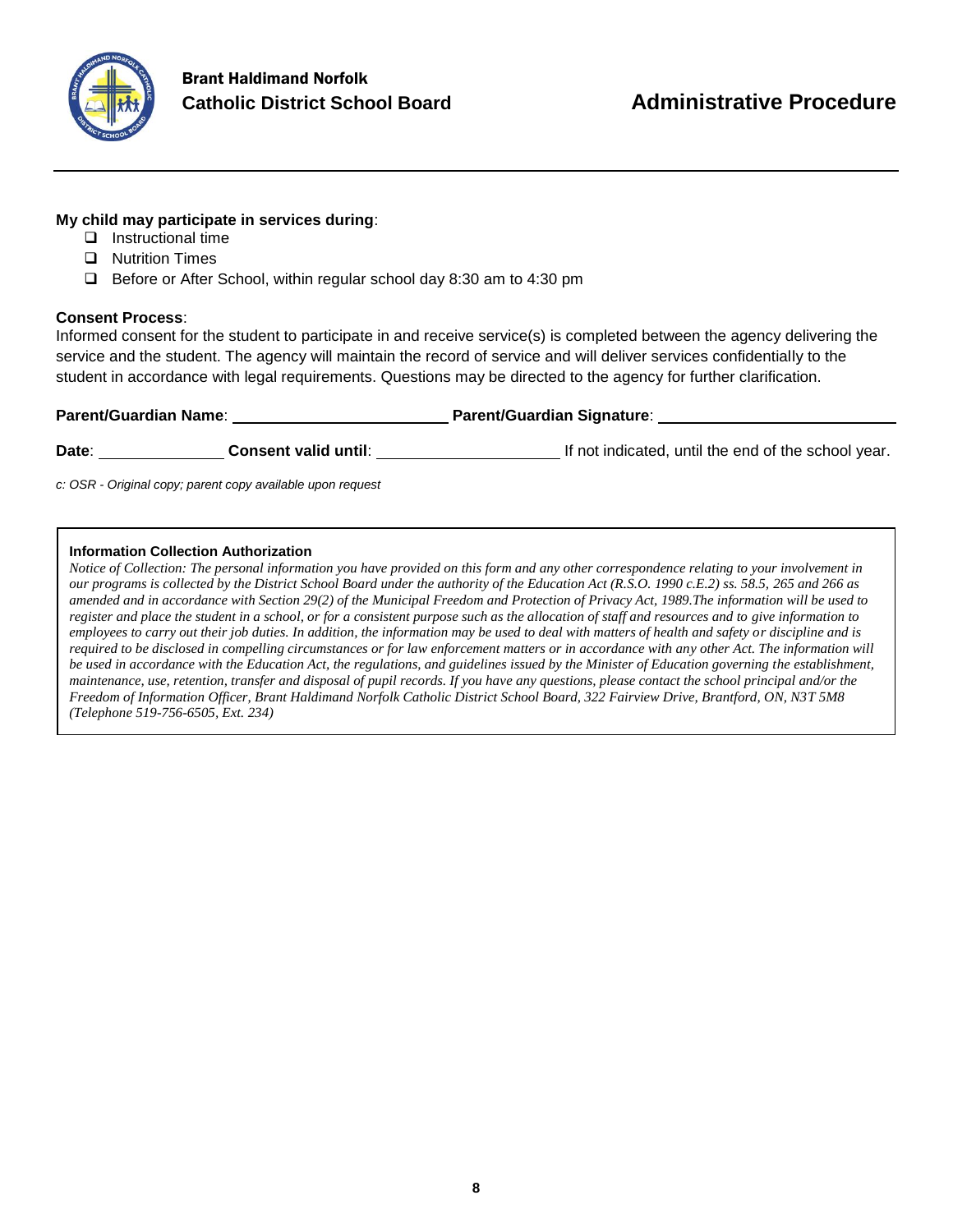

# **My child may participate in services during**:

- $\Box$  Instructional time
- **D** Nutrition Times
- $\Box$  Before or After School, within regular school day 8:30 am to 4:30 pm

#### **Consent Process**:

Informed consent for the student to participate in and receive service(s) is completed between the agency delivering the service and the student. The agency will maintain the record of service and will deliver services confidentially to the student in accordance with legal requirements. Questions may be directed to the agency for further clarification.

| <b>Parent/Guardian Name:</b> |                             | <b>Parent/Guardian Signature:</b>                   |
|------------------------------|-----------------------------|-----------------------------------------------------|
| Date:                        | <b>Consent valid until:</b> | If not indicated, until the end of the school year. |

*c: OSR - Original copy; parent copy available upon request*

#### **Information Collection Authorization**

*Notice of Collection: The personal information you have provided on this form and any other correspondence relating to your involvement in our programs is collected by the District School Board under the authority of the Education Act (R.S.O. 1990 c.E.2) ss. 58.5, 265 and 266 as amended and in accordance with Section 29(2) of the Municipal Freedom and Protection of Privacy Act, 1989.The information will be used to register and place the student in a school, or for a consistent purpose such as the allocation of staff and resources and to give information to employees to carry out their job duties. In addition, the information may be used to deal with matters of health and safety or discipline and is required to be disclosed in compelling circumstances or for law enforcement matters or in accordance with any other Act. The information will be used in accordance with the Education Act, the regulations, and guidelines issued by the Minister of Education governing the establishment, maintenance, use, retention, transfer and disposal of pupil records. If you have any questions, please contact the school principal and/or the Freedom of Information Officer, Brant Haldimand Norfolk Catholic District School Board, 322 Fairview Drive, Brantford, ON, N3T 5M8 (Telephone 519-756-6505, Ext. 234)*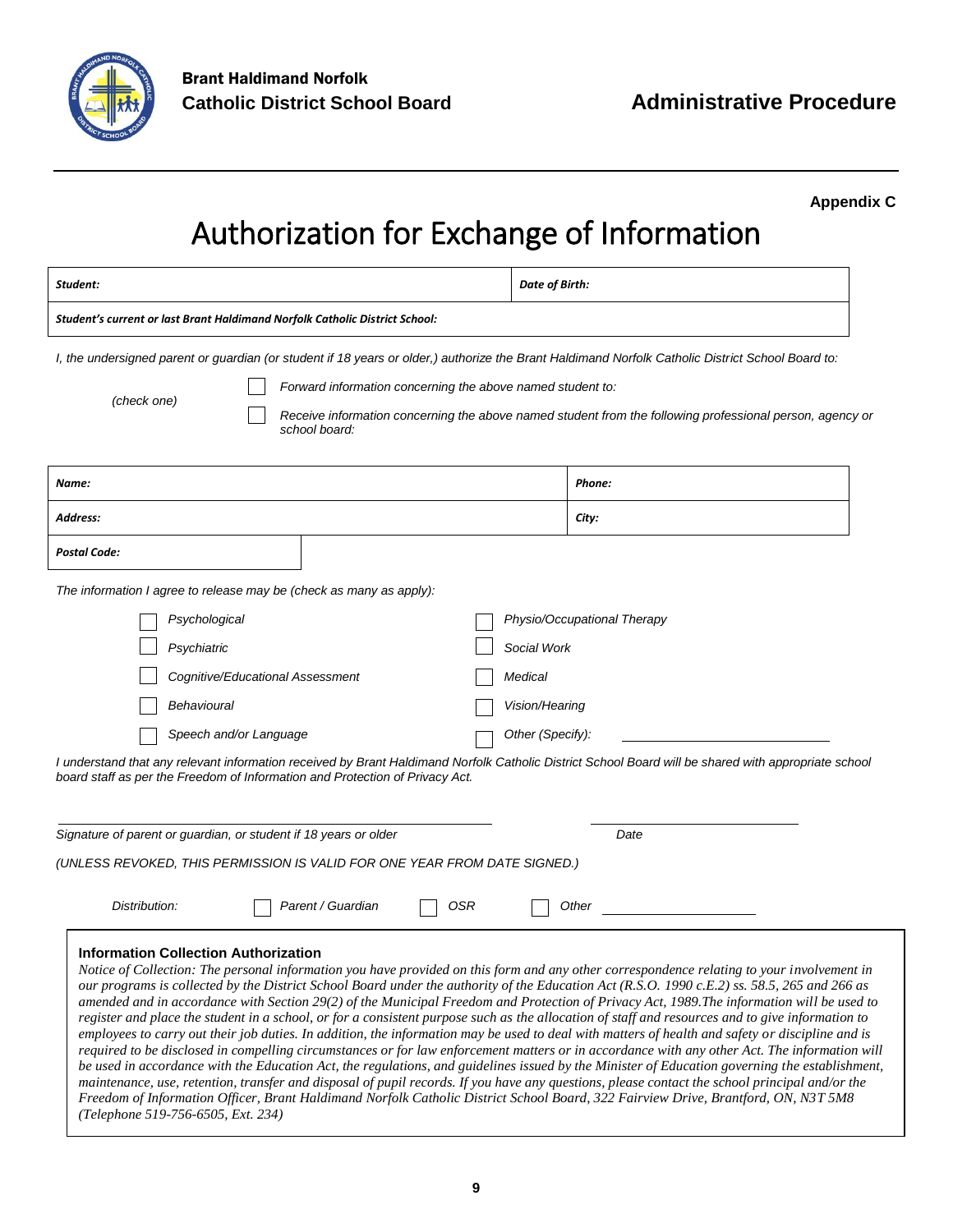

**Appendix C**

# Authorization for Exchange of Information

| Student:                                                                                                                                                                                                                                                                                                                                                                                                                                                                                                                                                                                                                                                                                                                                                                                                                                                                                                                                                                                                                                                                                                                                                                                                                                                                                                                                                                                                                  | Date of Birth:                                                                                           |  |  |  |
|---------------------------------------------------------------------------------------------------------------------------------------------------------------------------------------------------------------------------------------------------------------------------------------------------------------------------------------------------------------------------------------------------------------------------------------------------------------------------------------------------------------------------------------------------------------------------------------------------------------------------------------------------------------------------------------------------------------------------------------------------------------------------------------------------------------------------------------------------------------------------------------------------------------------------------------------------------------------------------------------------------------------------------------------------------------------------------------------------------------------------------------------------------------------------------------------------------------------------------------------------------------------------------------------------------------------------------------------------------------------------------------------------------------------------|----------------------------------------------------------------------------------------------------------|--|--|--|
| Student's current or last Brant Haldimand Norfolk Catholic District School:                                                                                                                                                                                                                                                                                                                                                                                                                                                                                                                                                                                                                                                                                                                                                                                                                                                                                                                                                                                                                                                                                                                                                                                                                                                                                                                                               |                                                                                                          |  |  |  |
| I, the undersigned parent or guardian (or student if 18 years or older,) authorize the Brant Haldimand Norfolk Catholic District School Board to:<br>Forward information concerning the above named student to:<br>(check one)<br>school board:                                                                                                                                                                                                                                                                                                                                                                                                                                                                                                                                                                                                                                                                                                                                                                                                                                                                                                                                                                                                                                                                                                                                                                           | Receive information concerning the above named student from the following professional person, agency or |  |  |  |
| Name:                                                                                                                                                                                                                                                                                                                                                                                                                                                                                                                                                                                                                                                                                                                                                                                                                                                                                                                                                                                                                                                                                                                                                                                                                                                                                                                                                                                                                     | Phone:                                                                                                   |  |  |  |
| Address:                                                                                                                                                                                                                                                                                                                                                                                                                                                                                                                                                                                                                                                                                                                                                                                                                                                                                                                                                                                                                                                                                                                                                                                                                                                                                                                                                                                                                  | City:                                                                                                    |  |  |  |
| <b>Postal Code:</b>                                                                                                                                                                                                                                                                                                                                                                                                                                                                                                                                                                                                                                                                                                                                                                                                                                                                                                                                                                                                                                                                                                                                                                                                                                                                                                                                                                                                       |                                                                                                          |  |  |  |
| The information I agree to release may be (check as many as apply):                                                                                                                                                                                                                                                                                                                                                                                                                                                                                                                                                                                                                                                                                                                                                                                                                                                                                                                                                                                                                                                                                                                                                                                                                                                                                                                                                       |                                                                                                          |  |  |  |
| Physio/Occupational Therapy<br>Psychological<br>Psychiatric<br>Social Work<br>Cognitive/Educational Assessment<br>Medical<br>Behavioural<br>Vision/Hearing<br>Speech and/or Language<br>Other (Specify):<br>I understand that any relevant information received by Brant Haldimand Norfolk Catholic District School Board will be shared with appropriate school<br>board staff as per the Freedom of Information and Protection of Privacy Act.<br>Signature of parent or guardian, or student if 18 years or older<br>Date<br>(UNLESS REVOKED, THIS PERMISSION IS VALID FOR ONE YEAR FROM DATE SIGNED.)                                                                                                                                                                                                                                                                                                                                                                                                                                                                                                                                                                                                                                                                                                                                                                                                                 |                                                                                                          |  |  |  |
| Distribution:<br>Parent / Guardian<br>OSR                                                                                                                                                                                                                                                                                                                                                                                                                                                                                                                                                                                                                                                                                                                                                                                                                                                                                                                                                                                                                                                                                                                                                                                                                                                                                                                                                                                 | Other                                                                                                    |  |  |  |
| Information Collection Authorization<br>Notice of Collection: The personal information you have provided on this form and any other correspondence relating to your involvement in<br>our programs is collected by the District School Board under the authority of the Education Act (R.S.O. 1990 c.E.2) ss. 58.5, 265 and 266 as<br>amended and in accordance with Section 29(2) of the Municipal Freedom and Protection of Privacy Act, 1989. The information will be used to<br>register and place the student in a school, or for a consistent purpose such as the allocation of staff and resources and to give information to<br>employees to carry out their job duties. In addition, the information may be used to deal with matters of health and safety or discipline and is<br>required to be disclosed in compelling circumstances or for law enforcement matters or in accordance with any other Act. The information will<br>be used in accordance with the Education Act, the regulations, and guidelines issued by the Minister of Education governing the establishment,<br>maintenance, use, retention, transfer and disposal of pupil records. If you have any questions, please contact the school principal and/or the<br>Freedom of Information Officer, Brant Haldimand Norfolk Catholic District School Board, 322 Fairview Drive, Brantford, ON, N3T 5M8<br>(Telephone 519-756-6505, Ext. 234) |                                                                                                          |  |  |  |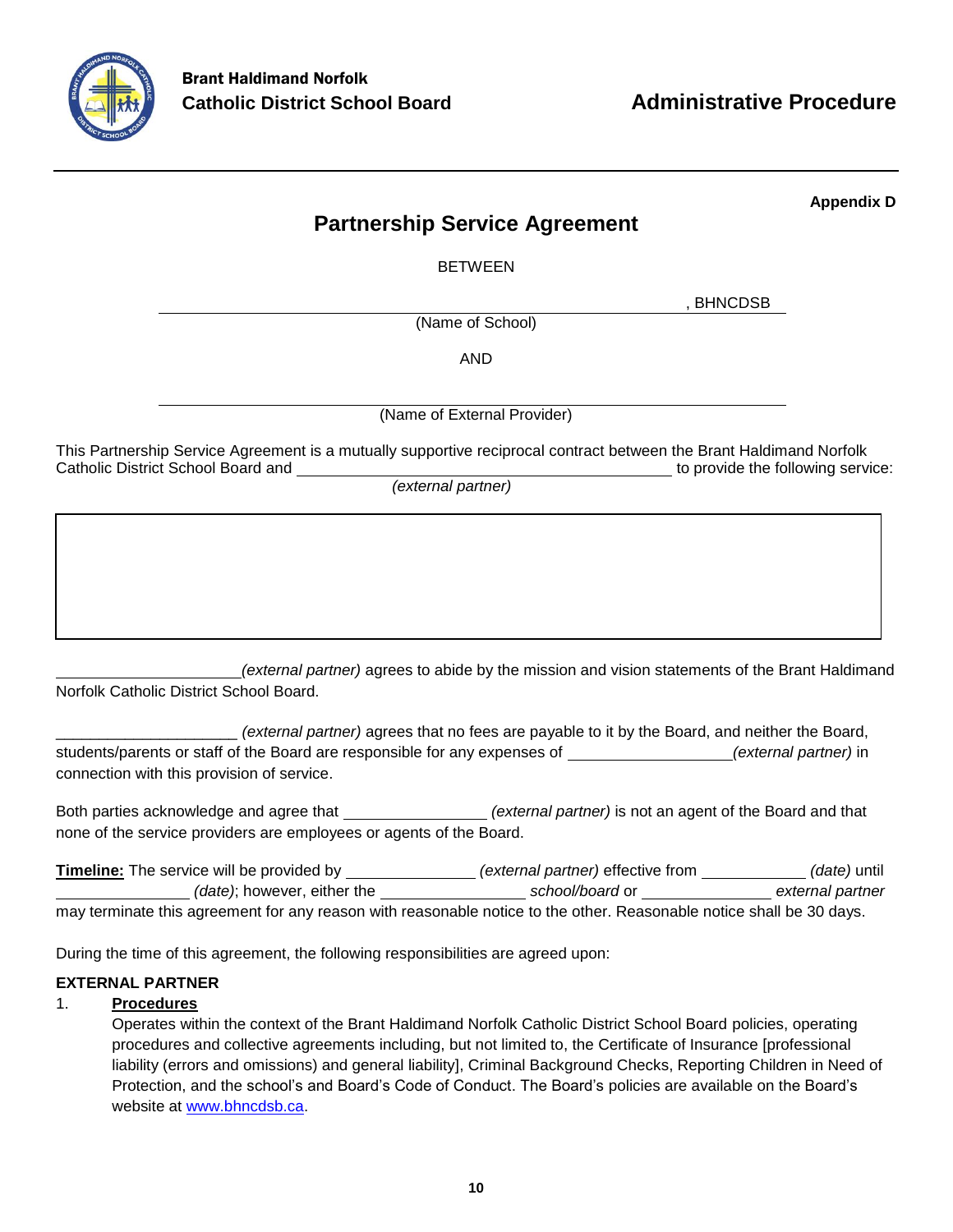

**Appendix D**

# **Partnership Service Agreement**

BETWEEN

, BHNCDSB

(Name of School)

AND

(Name of External Provider)

This Partnership Service Agreement is a mutually supportive reciprocal contract between the Brant Haldimand Norfolk Catholic District School Board and the provide the following service:

*(external partner)*

 *(external partner)* agrees to abide by the mission and vision statements of the Brant Haldimand Norfolk Catholic District School Board.

\_\_\_\_\_\_\_\_\_\_\_\_\_\_\_\_\_\_\_\_\_ *(external partner)* agrees that no fees are payable to it by the Board, and neither the Board, students/parents or staff of the Board are responsible for any expenses of **[1] [2013]** (external partner) in connection with this provision of service.

Both parties acknowledge and agree that *(external partner)* is not an agent of the Board and that none of the service providers are employees or agents of the Board.

| <b>Timeline:</b> The service will be provided by                                                                     | <i>(external partner)</i> effective from | <i>(date)</i> until |
|----------------------------------------------------------------------------------------------------------------------|------------------------------------------|---------------------|
| (date); however, either the                                                                                          | school/board or                          | external partner    |
| may terminate this agreement for any reason with reasonable notice to the other. Reasonable notice shall be 30 days. |                                          |                     |

During the time of this agreement, the following responsibilities are agreed upon:

# **EXTERNAL PARTNER**

# 1. **Procedures**

Operates within the context of the Brant Haldimand Norfolk Catholic District School Board policies, operating procedures and collective agreements including, but not limited to, the Certificate of Insurance [professional liability (errors and omissions) and general liability], Criminal Background Checks, Reporting Children in Need of Protection, and the school's and Board's Code of Conduct. The Board's policies are available on the Board's website at [www.bhncdsb.ca.](http://www.bhncdsb.ca/)